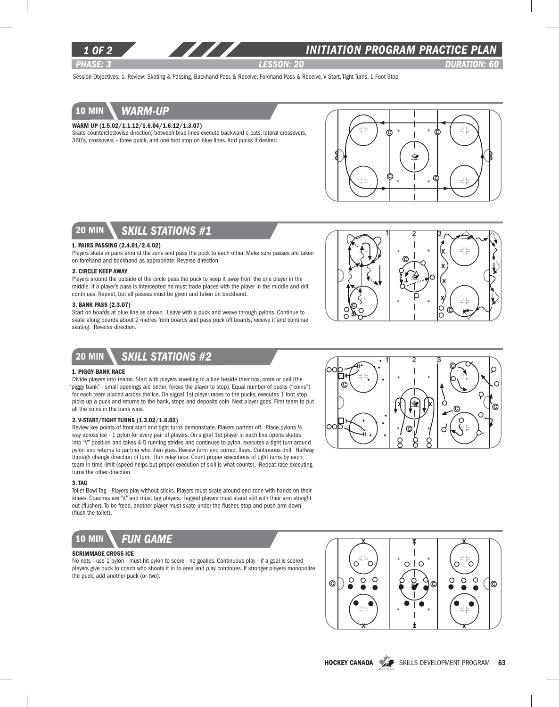

## *INITIATION program PRACTICE PLAN*

*PHASE: 3 lesson: 20 DURATION: 60* 

Session Objectives: 1. Review: Skating & Passing, Backhand Pass & Receive, Forehand Pass & Receive, V Start, Tight Turns, 1 Foot Stop

# 10 min *warm-up*

### Warm Up (1.5.02/1.1.12/1.6.04/1.6.12/1.3.07)

Skate counterclockwise direction; between blue lines execute backward c-cuts, lateral crossovers, 360's, crossovers – three quick, and one foot stop on blue lines. Add pucks if desired.





### 1. Pairs Passing (2.4.01/2.4.02)

Players skate in pairs around the zone and pass the puck to each other. Make sure passes are taken on forehand and backhand as appropriate. Reverse direction.

### 2. Circle Keep Away

Players around the outside of the circle pass the puck to keep it away from the one player in the middle. If a player's pass is intercepted he must trade places with the player in the middle and drill continues. Repeat, but all passes must be given and taken on backhand.

### 3. Bank Pass (2.3.07)

Start on boards at blue line as shown. Leave with a puck and weave through pylons. Continue to skate along boards about 2 metres from boards and pass puck off boards, receive it and continue skating. Reverse direction.





#### 1. Piggy Bank Race

Divide players into teams. Start with players kneeling in a line beside their box, crate or pail (the "piggy bank" - small openings are better, forces the player to stop). Equal number of pucks ("coins") for each team placed across the ice. On signal 1st player races to the pucks, executes 1 foot stop, picks up a puck and returns to the bank, stops and deposits coin. Next player goes. First team to put all the coins in the bank wins.

#### 2. V-Start/Tight turns (1.3.02/1.6.02)

Review key points of front start and tight turns demonstrate. Players partner off. Place pylons ½ way across ice - 1 pylon for every pair of players. On signal 1st player in each line opens skates into "V" position and takes 4-5 running strides and continues to pylon, executes a tight turn around pylon and returns to partner who then goes. Review form and correct flaws. Continuous drill. Halfway through change direction of turn. Run relay race. Count proper executions of tight turns by each team in time limit (speed helps but proper execution of skill is what counts). Repeat race executing turns the other direction.

### 3. Tag

Toilet Bowl Tag - Players play without sticks. Players must skate around end zone with hands on their knees. Coaches are "it" and must tag players. Tagged players must stand still with their arm straight out (flusher). To be freed, another player must skate under the flusher, stop and push arm down (flush the toilet).



### Scrimmage Cross Ice

No nets - use 1 pylon - must hit pylon to score - no goalies. Continuous play - if a goal is scored players give puck to coach who shoots it in to area and play continues. If stronger players monopolize the puck, add another puck (or two).





HOCKEY CANADA SKILLS DEVELOPMENT PROGRAM 63